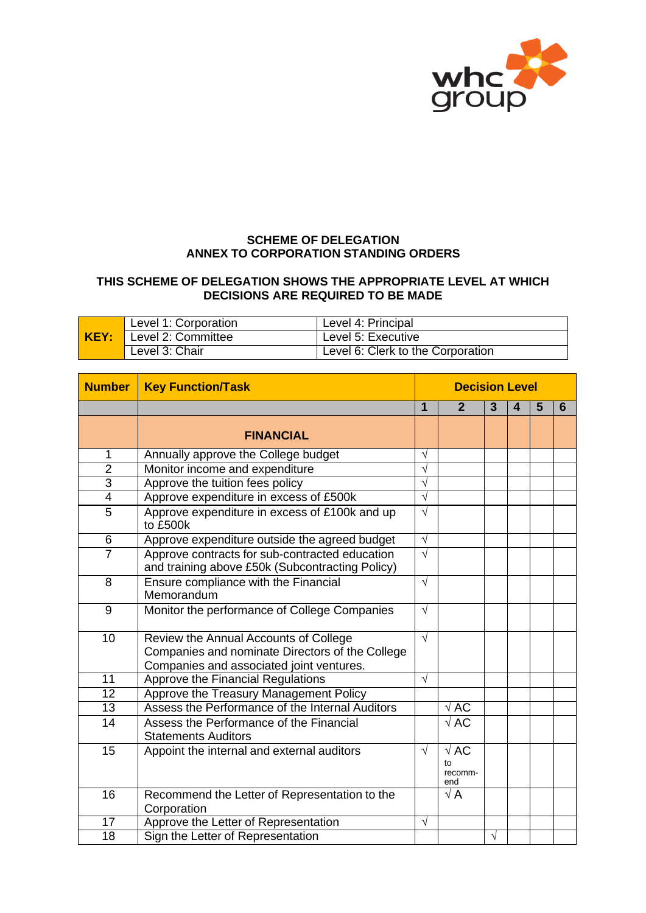

## **SCHEME OF DELEGATION ANNEX TO CORPORATION STANDING ORDERS**

## **THIS SCHEME OF DELEGATION SHOWS THE APPROPRIATE LEVEL AT WHICH DECISIONS ARE REQUIRED TO BE MADE**

|      | Level 1: Corporation | Level 4: Principal                |
|------|----------------------|-----------------------------------|
| KEY: | Level 2: Committee   | Level 5: Executive                |
|      | Level 3: Chair       | Level 6: Clerk to the Corporation |

| <b>Number</b>   | <b>Key Function/Task</b>                                                                                                             | <b>Decision Level</b> |                                     |           |   |   |   |
|-----------------|--------------------------------------------------------------------------------------------------------------------------------------|-----------------------|-------------------------------------|-----------|---|---|---|
|                 |                                                                                                                                      | 1                     | $\overline{2}$                      | 3         | 4 | 5 | 6 |
|                 | <b>FINANCIAL</b>                                                                                                                     |                       |                                     |           |   |   |   |
| 1               | Annually approve the College budget                                                                                                  | $\sqrt{}$             |                                     |           |   |   |   |
| $\overline{2}$  | Monitor income and expenditure                                                                                                       | $\sqrt{}$             |                                     |           |   |   |   |
| $\overline{3}$  | Approve the tuition fees policy                                                                                                      | $\sqrt{}$             |                                     |           |   |   |   |
| $\overline{4}$  | Approve expenditure in excess of £500k                                                                                               | $\sqrt{}$             |                                     |           |   |   |   |
| 5               | Approve expenditure in excess of £100k and up<br>to £500k                                                                            | $\sqrt{}$             |                                     |           |   |   |   |
| $\overline{6}$  | Approve expenditure outside the agreed budget                                                                                        | $\sqrt{}$             |                                     |           |   |   |   |
| $\overline{7}$  | Approve contracts for sub-contracted education<br>and training above £50k (Subcontracting Policy)                                    | $\sqrt{ }$            |                                     |           |   |   |   |
| 8               | Ensure compliance with the Financial<br>Memorandum                                                                                   | $\sqrt{ }$            |                                     |           |   |   |   |
| 9               | Monitor the performance of College Companies                                                                                         | $\sqrt{ }$            |                                     |           |   |   |   |
| 10              | Review the Annual Accounts of College<br>Companies and nominate Directors of the College<br>Companies and associated joint ventures. | $\sqrt{ }$            |                                     |           |   |   |   |
| $\overline{11}$ | Approve the Financial Regulations                                                                                                    | $\sqrt{}$             |                                     |           |   |   |   |
| $\overline{12}$ | Approve the Treasury Management Policy                                                                                               |                       |                                     |           |   |   |   |
| $\overline{13}$ | Assess the Performance of the Internal Auditors                                                                                      |                       | $\sqrt{\text{AC}}$                  |           |   |   |   |
| 14              | Assess the Performance of the Financial<br><b>Statements Auditors</b>                                                                |                       | $\sqrt{\text{AC}}$                  |           |   |   |   |
| 15              | Appoint the internal and external auditors                                                                                           | $\sqrt{ }$            | $\sqrt{AC}$<br>t٥<br>recomm-<br>end |           |   |   |   |
| 16              | Recommend the Letter of Representation to the<br>Corporation                                                                         |                       | $\sqrt{A}$                          |           |   |   |   |
| $\overline{17}$ | Approve the Letter of Representation                                                                                                 | $\sqrt{ }$            |                                     |           |   |   |   |
| $\overline{18}$ | Sign the Letter of Representation                                                                                                    |                       |                                     | $\sqrt{}$ |   |   |   |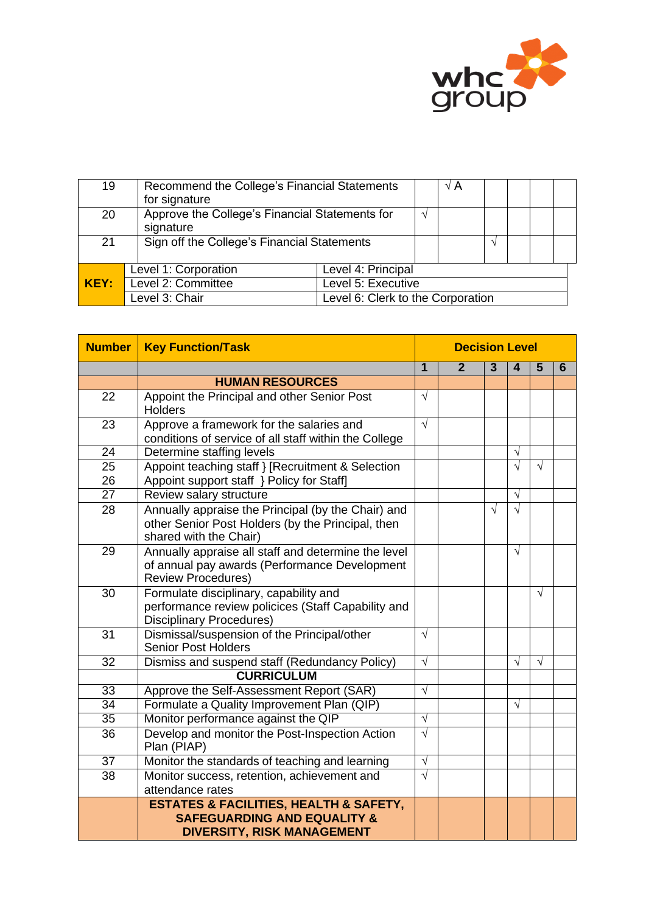

| 19   | for signature                                               | Recommend the College's Financial Statements |    |  |  |  |  |  |
|------|-------------------------------------------------------------|----------------------------------------------|----|--|--|--|--|--|
| 20   | Approve the College's Financial Statements for<br>signature |                                              | اد |  |  |  |  |  |
| 21   |                                                             | Sign off the College's Financial Statements  |    |  |  |  |  |  |
|      | Level 1: Corporation                                        | Level 4: Principal                           |    |  |  |  |  |  |
| KEY: | Level 2: Committee                                          | Level 5: Executive                           |    |  |  |  |  |  |
|      | Level 3: Chair                                              | Level 6: Clerk to the Corporation            |    |  |  |  |  |  |

| <b>Number</b>   | <b>Key Function/Task</b>                                                                                                             | <b>Decision Level</b> |                |                |            |                |   |
|-----------------|--------------------------------------------------------------------------------------------------------------------------------------|-----------------------|----------------|----------------|------------|----------------|---|
|                 |                                                                                                                                      | $\overline{1}$        | $\overline{2}$ | $\overline{3}$ | 4          | $5\phantom{1}$ | 6 |
|                 | <b>HUMAN RESOURCES</b>                                                                                                               |                       |                |                |            |                |   |
| 22              | Appoint the Principal and other Senior Post<br><b>Holders</b>                                                                        | $\sqrt{ }$            |                |                |            |                |   |
| 23              | Approve a framework for the salaries and<br>conditions of service of all staff within the College                                    | $\sqrt{}$             |                |                |            |                |   |
| $\overline{24}$ | Determine staffing levels                                                                                                            |                       |                |                | $\sqrt{}$  |                |   |
| 25<br>26        | Appoint teaching staff } [Recruitment & Selection<br>Appoint support staff } Policy for Staff]                                       |                       |                |                | $\sqrt{ }$ | $\sqrt{ }$     |   |
| $\overline{27}$ | Review salary structure                                                                                                              |                       |                |                | $\sqrt{}$  |                |   |
| 28              | Annually appraise the Principal (by the Chair) and<br>other Senior Post Holders (by the Principal, then<br>shared with the Chair)    |                       |                | $\sqrt{ }$     | $\sqrt{ }$ |                |   |
| 29              | Annually appraise all staff and determine the level<br>of annual pay awards (Performance Development<br><b>Review Procedures)</b>    |                       |                |                | $\sqrt{ }$ |                |   |
| 30              | Formulate disciplinary, capability and<br>performance review policices (Staff Capability and<br><b>Disciplinary Procedures)</b>      |                       |                |                |            | $\sqrt{ }$     |   |
| 31              | Dismissal/suspension of the Principal/other<br><b>Senior Post Holders</b>                                                            | $\sqrt{ }$            |                |                |            |                |   |
| $\overline{32}$ | Dismiss and suspend staff (Redundancy Policy)                                                                                        | $\sqrt{}$             |                |                | $\sqrt{ }$ | $\sqrt{ }$     |   |
|                 | <b>CURRICULUM</b>                                                                                                                    |                       |                |                |            |                |   |
| 33              | Approve the Self-Assessment Report (SAR)                                                                                             | $\sqrt{}$             |                |                |            |                |   |
| $\overline{34}$ | Formulate a Quality Improvement Plan (QIP)                                                                                           |                       |                |                | $\sqrt{ }$ |                |   |
| 35              | Monitor performance against the QIP                                                                                                  | $\sqrt{}$             |                |                |            |                |   |
| 36              | Develop and monitor the Post-Inspection Action<br>Plan (PIAP)                                                                        | $\sqrt{}$             |                |                |            |                |   |
| 37              | Monitor the standards of teaching and learning                                                                                       | $\sqrt{ }$            |                |                |            |                |   |
| 38              | Monitor success, retention, achievement and                                                                                          | $\sqrt{}$             |                |                |            |                |   |
|                 | attendance rates                                                                                                                     |                       |                |                |            |                |   |
|                 | <b>ESTATES &amp; FACILITIES, HEALTH &amp; SAFETY,</b><br><b>SAFEGUARDING AND EQUALITY &amp;</b><br><b>DIVERSITY, RISK MANAGEMENT</b> |                       |                |                |            |                |   |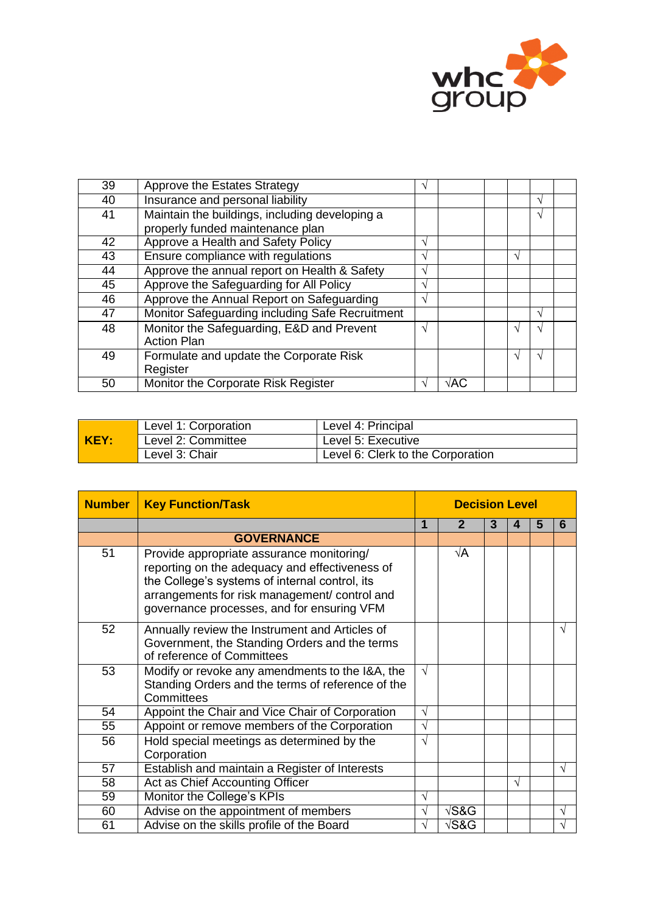

| 39 | Approve the Estates Strategy                    | V          |                    |               |               |  |
|----|-------------------------------------------------|------------|--------------------|---------------|---------------|--|
| 40 | Insurance and personal liability                |            |                    |               | $\sqrt{ }$    |  |
| 41 | Maintain the buildings, including developing a  |            |                    |               | V             |  |
|    | properly funded maintenance plan                |            |                    |               |               |  |
| 42 | Approve a Health and Safety Policy              | $\sqrt{ }$ |                    |               |               |  |
| 43 | Ensure compliance with regulations              | V          |                    | $\sqrt{ }$    |               |  |
| 44 | Approve the annual report on Health & Safety    | $\sqrt{ }$ |                    |               |               |  |
| 45 | Approve the Safeguarding for All Policy         | $\sqrt{ }$ |                    |               |               |  |
| 46 | Approve the Annual Report on Safeguarding       | $\sqrt{ }$ |                    |               |               |  |
| 47 | Monitor Safeguarding including Safe Recruitment |            |                    |               | $\mathcal{N}$ |  |
| 48 | Monitor the Safeguarding, E&D and Prevent       | $\sqrt{ }$ |                    | ٦             | اد            |  |
|    | <b>Action Plan</b>                              |            |                    |               |               |  |
| 49 | Formulate and update the Corporate Risk         |            |                    | $\mathcal{L}$ | N             |  |
|    | Register                                        |            |                    |               |               |  |
| 50 | Monitor the Corporate Risk Register             | V          | $\sqrt{\text{AC}}$ |               |               |  |

| <b>KEY:</b> | Level 1: Corporation | Level 4: Principal                |
|-------------|----------------------|-----------------------------------|
|             | Level 2: Committee   | Level 5: Executive                |
|             | Level 3: Chair       | Level 6: Clerk to the Corporation |

| <b>Number</b> | <b>Key Function/Task</b>                                                                                                                                                                                                                     | <b>Decision Level</b> |                      |   |            |   |            |
|---------------|----------------------------------------------------------------------------------------------------------------------------------------------------------------------------------------------------------------------------------------------|-----------------------|----------------------|---|------------|---|------------|
|               |                                                                                                                                                                                                                                              | 1                     | $\mathbf{2}$         | 3 |            | 5 | 6          |
|               | <b>GOVERNANCE</b>                                                                                                                                                                                                                            |                       |                      |   |            |   |            |
| 51            | Provide appropriate assurance monitoring/<br>reporting on the adequacy and effectiveness of<br>the College's systems of internal control, its<br>arrangements for risk management/ control and<br>governance processes, and for ensuring VFM |                       | √A                   |   |            |   |            |
| 52            | Annually review the Instrument and Articles of<br>Government, the Standing Orders and the terms<br>of reference of Committees                                                                                                                |                       |                      |   |            |   | $\sqrt{}$  |
| 53            | Modify or revoke any amendments to the I&A, the<br>Standing Orders and the terms of reference of the<br>Committees                                                                                                                           | $\sqrt{ }$            |                      |   |            |   |            |
| 54            | Appoint the Chair and Vice Chair of Corporation                                                                                                                                                                                              | $\sqrt{}$             |                      |   |            |   |            |
| 55            | Appoint or remove members of the Corporation                                                                                                                                                                                                 | $\sqrt{}$             |                      |   |            |   |            |
| 56            | Hold special meetings as determined by the<br>Corporation                                                                                                                                                                                    | $\sqrt{ }$            |                      |   |            |   |            |
| 57            | Establish and maintain a Register of Interests                                                                                                                                                                                               |                       |                      |   |            |   | V          |
| 58            | Act as Chief Accounting Officer                                                                                                                                                                                                              |                       |                      |   | $\sqrt{ }$ |   |            |
| 59            | Monitor the College's KPIs                                                                                                                                                                                                                   | $\sqrt{ }$            |                      |   |            |   |            |
| 60            | Advise on the appointment of members                                                                                                                                                                                                         | $\sqrt{}$             | $\sqrt{\text{S& G}}$ |   |            |   | $\sqrt{ }$ |
| 61            | Advise on the skills profile of the Board                                                                                                                                                                                                    | $\sqrt{}$             | $\sqrt{\text{S& G}}$ |   |            |   | $\sqrt{}$  |